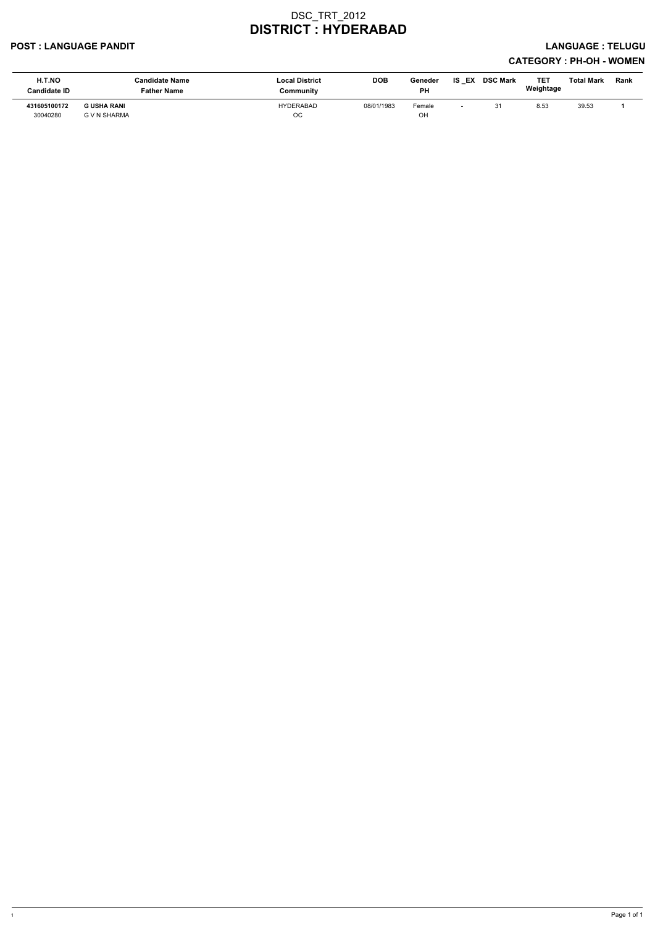#### POST : LANGUAGE PANDIT LANGUAGE : TELUGU

| H.T.NO<br>Candidate ID   | <b>Candidate Name</b><br>Father Name | <b>Local District</b><br>Community | <b>DOB</b> | Geneder<br><b>PH</b> | IS<br>EX | <b>DSC Mark</b> | TET<br>Weightage | <b>Total Mark</b> | Rank |
|--------------------------|--------------------------------------|------------------------------------|------------|----------------------|----------|-----------------|------------------|-------------------|------|
| 431605100172<br>30040280 | <b>G USHA RANI</b><br>G V N SHARMA   | <b>HYDERABAD</b><br>$_{\rm OC}$    | 08/01/1983 | Female<br>OH         |          |                 | 8.53             | 39.53             |      |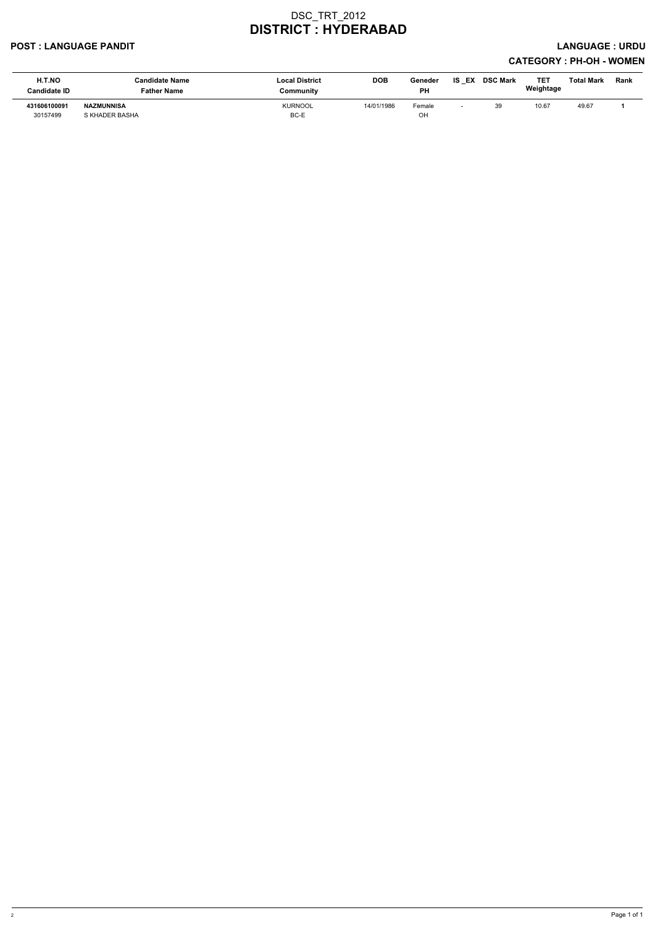#### POST : LANGUAGE PANDIT LANGUAGE : URDU

| <b>H.T.NO</b><br><b>Candidate ID</b> | <b>Candidate Name</b><br><b>Father Name</b> | <b>Local District</b><br>Community | <b>DOB</b> | Geneder<br><b>PH</b> | IS<br>EX | <b>DSC Mark</b> | TET<br>Weightage | <b>Total Mark</b> | Rank |
|--------------------------------------|---------------------------------------------|------------------------------------|------------|----------------------|----------|-----------------|------------------|-------------------|------|
| 431606100091<br>30157499             | <b>NAZMUNNISA</b><br>S KHADER BASHA         | <b>KURNOOL</b><br>BC-E             | 14/01/1986 | Female<br>OH         |          | 39              | 10.67            | 49.67             |      |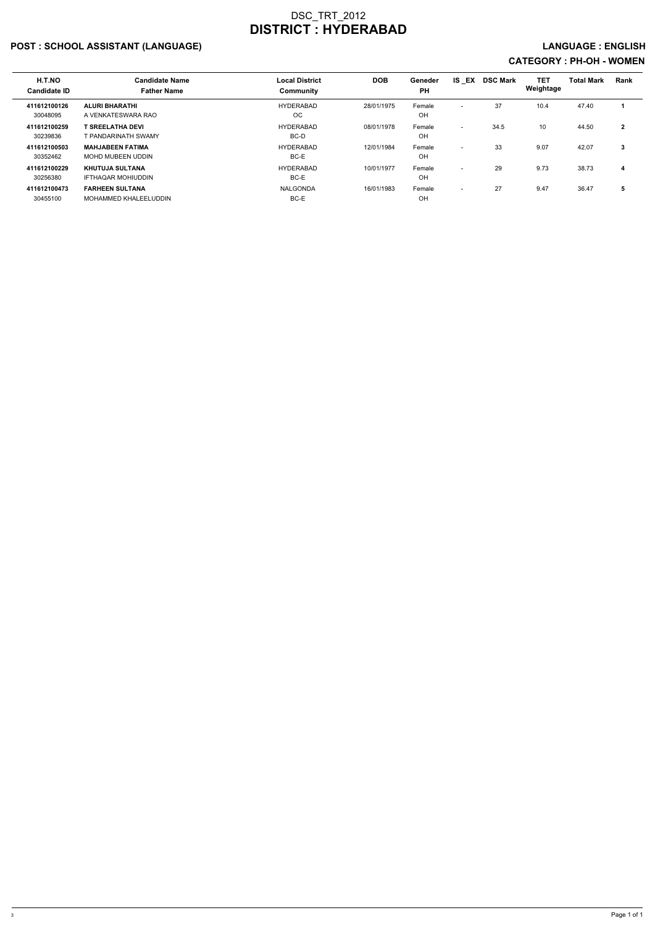## POST : SCHOOL ASSISTANT (LANGUAGE) AND EXAMPLE THE SERVICE OF SERVICE OF SERVICE OF SERVICE OF SERVICE : ENGLISH

| H.T.NO<br><b>Candidate ID</b> | <b>Candidate Name</b><br><b>Father Name</b>         | <b>Local District</b><br><b>Community</b> | <b>DOB</b> | Geneder<br><b>PH</b> | IS EX                    | <b>DSC Mark</b> | TET<br>Weightage | <b>Total Mark</b> | Rank           |
|-------------------------------|-----------------------------------------------------|-------------------------------------------|------------|----------------------|--------------------------|-----------------|------------------|-------------------|----------------|
| 411612100126<br>30048095      | <b>ALURI BHARATHI</b><br>A VENKATESWARA RAO         | HYDERABAD<br>OC.                          | 28/01/1975 | Female<br>OH         | $\overline{\phantom{0}}$ | 37              | 10.4             | 47.40             |                |
| 411612100259<br>30239836      | <b>T SREELATHA DEVI</b><br>T PANDARINATH SWAMY      | HYDERABAD<br>BC-D                         | 08/01/1978 | Female<br>OH         | $\overline{\phantom{0}}$ | 34.5            | 10               | 44.50             | $\overline{2}$ |
| 411612100503<br>30352462      | <b>MAHJABEEN FATIMA</b><br>MOHD MUBEEN UDDIN        | <b>HYDERABAD</b><br>BC-E                  | 12/01/1984 | Female<br>OH         | $\overline{\phantom{0}}$ | 33              | 9.07             | 42.07             | 3              |
| 411612100229<br>30256380      | <b>KHUTUJA SULTANA</b><br><b>IFTHAQAR MOHIUDDIN</b> | HYDERABAD<br>BC-E                         | 10/01/1977 | Female<br>OH         | $\overline{\phantom{0}}$ | 29              | 9.73             | 38.73             | 4              |
| 411612100473<br>30455100      | <b>FARHEEN SULTANA</b><br>MOHAMMED KHALEELUDDIN     | NALGONDA<br>BC-E                          | 16/01/1983 | Female<br>OH         | $\overline{\phantom{0}}$ | 27              | 9.47             | 36.47             | 5              |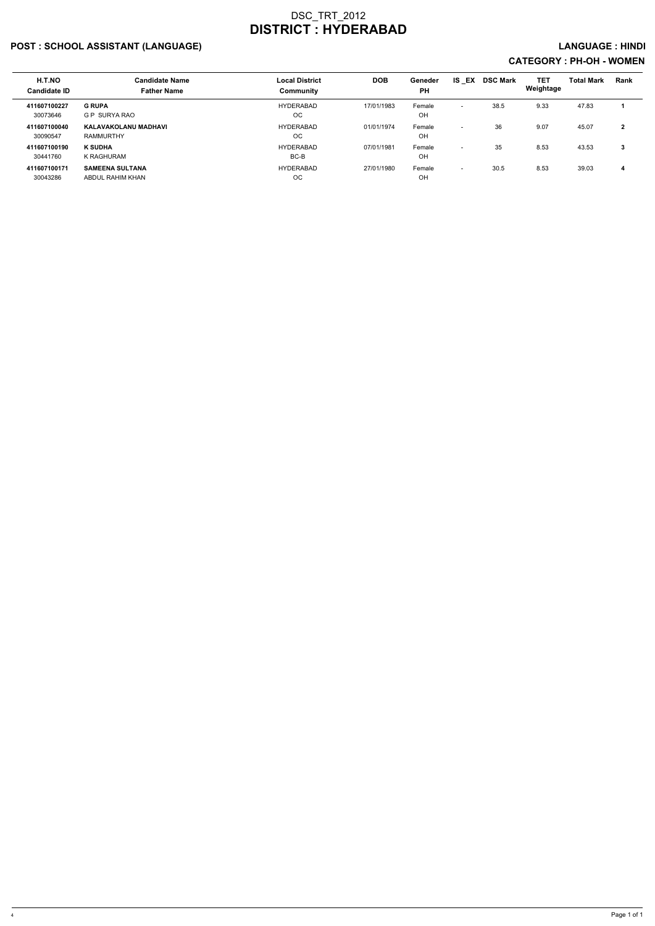## POST : SCHOOL ASSISTANT (LANGUAGE) And the set of the set of the set of the set of the set of the set of the set of the set of the set of the set of the set of the set of the set of the set of the set of the set of the set

| H.T.NO<br><b>Candidate ID</b> | <b>Candidate Name</b><br><b>Father Name</b> | <b>Local District</b><br>Community | <b>DOB</b> | Geneder<br><b>PH</b> | <b>IS EX</b>             | <b>DSC Mark</b> | <b>TET</b><br>Weightage | <b>Total Mark</b> | <b>Rank</b>  |
|-------------------------------|---------------------------------------------|------------------------------------|------------|----------------------|--------------------------|-----------------|-------------------------|-------------------|--------------|
| 411607100227<br>30073646      | <b>G RUPA</b><br><b>G P SURYA RAO</b>       | <b>HYDERABAD</b><br><b>OC</b>      | 17/01/1983 | Female<br>OH         | $\overline{\phantom{0}}$ | 38.5            | 9.33                    | 47.83             |              |
| 411607100040<br>30090547      | KALAVAKOLANU MADHAVI<br>RAMMURTHY           | <b>HYDERABAD</b><br><sub>OC</sub>  | 01/01/1974 | Female<br>OH         | $\overline{\phantom{0}}$ | 36              | 9.07                    | 45.07             | $\mathbf{2}$ |
| 411607100190<br>30441760      | <b>K SUDHA</b><br>K RAGHURAM                | <b>HYDERABAD</b><br>BC-B           | 07/01/1981 | Female<br>OH         | $\overline{\phantom{0}}$ | 35              | 8.53                    | 43.53             | 3            |
| 411607100171<br>30043286      | <b>SAMEENA SULTANA</b><br>ABDUL RAHIM KHAN  | <b>HYDERABAD</b><br>ОC             | 27/01/1980 | Female<br>OH         | $\overline{\phantom{0}}$ | 30.5            | 8.53                    | 39.03             | 4            |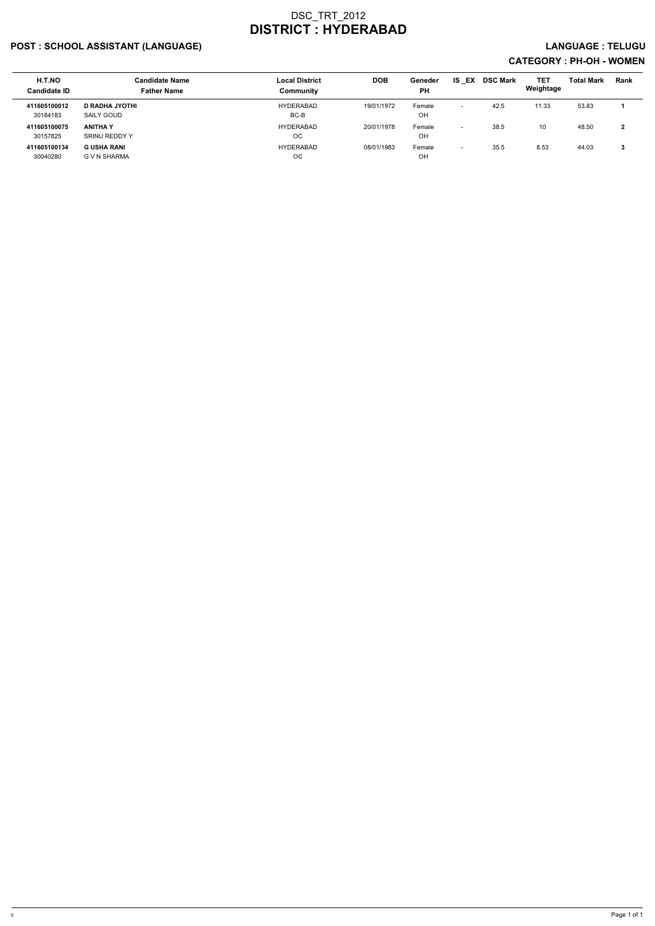## POST : SCHOOL ASSISTANT (LANGUAGE) LANGUAGE : TELUGU

| H.T.NO<br><b>Candidate ID</b> | <b>Candidate Name</b><br><b>Father Name</b> | <b>Local District</b><br>Community | <b>DOB</b> | Geneder<br><b>PH</b> | IS.<br>EX                | <b>DSC Mark</b> | <b>TET</b><br>Weightage | <b>Total Mark</b> | <b>Rank</b> |
|-------------------------------|---------------------------------------------|------------------------------------|------------|----------------------|--------------------------|-----------------|-------------------------|-------------------|-------------|
| 411605100012<br>30184183      | <b>D RADHA JYOTHI</b><br>SAILY GOUD         | HYDERABAD<br>BC-B                  | 19/01/1972 | Female<br>OH         | $\overline{\phantom{a}}$ | 42.5            | 11.33                   | 53.83             |             |
| 411605100075<br>30157825      | <b>ANITHA Y</b><br>SRINU REDDY Y            | HYDERABAD<br>ОC                    | 20/01/1978 | Female<br>OH         | $\overline{\phantom{0}}$ | 38.5            | 10                      | 48.50             | າ           |
| 411605100134<br>30040280      | G USHA RANI<br>G V N SHARMA                 | <b>HYDERABAD</b><br>ОC             | 08/01/1983 | Female<br>OH         | $\overline{\phantom{0}}$ | 35.5            | 8.53                    | 44.03             |             |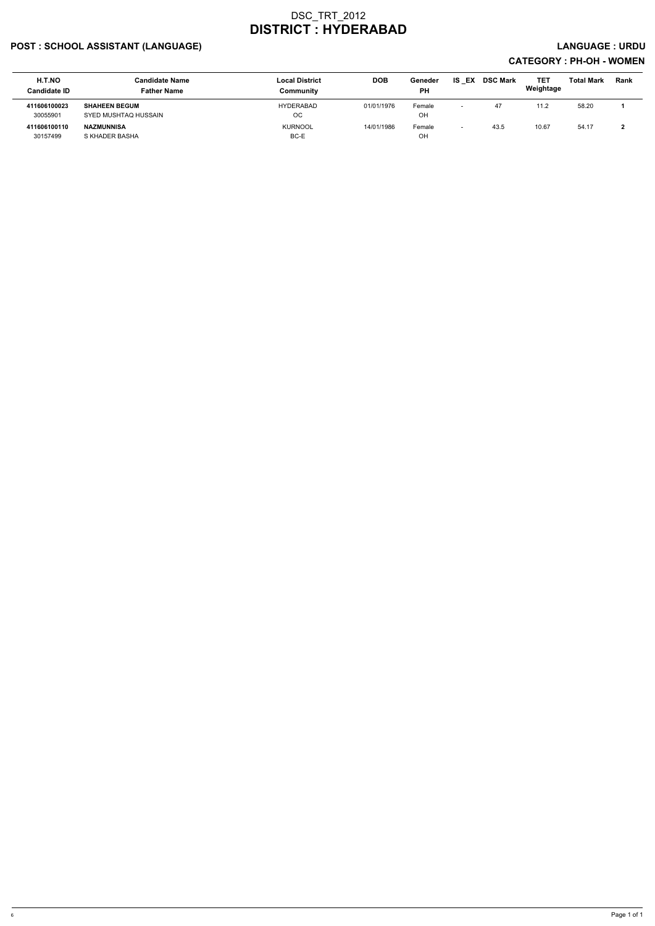## POST : SCHOOL ASSISTANT (LANGUAGE) And the set of the set of the set of the set of the set of the set of the set of the set of the set of the set of the set of the set of the set of the set of the set of the set of the set

| <b>H.T.NO</b><br><b>Candidate ID</b> | <b>Candidate Name</b><br><b>Father Name</b>  | <b>Local District</b><br>Community | <b>DOB</b> | Geneder<br><b>PH</b> | IS<br>EX                 | <b>DSC Mark</b> | <b>TET</b><br>Weightage | <b>Total Mark</b> | <b>Rank</b> |
|--------------------------------------|----------------------------------------------|------------------------------------|------------|----------------------|--------------------------|-----------------|-------------------------|-------------------|-------------|
| 411606100023<br>30055901             | <b>SHAHEEN BEGUM</b><br>SYED MUSHTAQ HUSSAIN | <b>HYDERABAD</b><br>OС             | 01/01/1976 | Female<br>OH         | $\overline{\phantom{0}}$ | 47              | 11.2                    | 58.20             |             |
| 411606100110<br>30157499             | NAZMUNNISA<br>S KHADER BASHA                 | <b>KURNOOL</b><br>BC-E             | 14/01/1986 | Female<br><b>OH</b>  |                          | 43.5            | 10.67                   | 54.17             |             |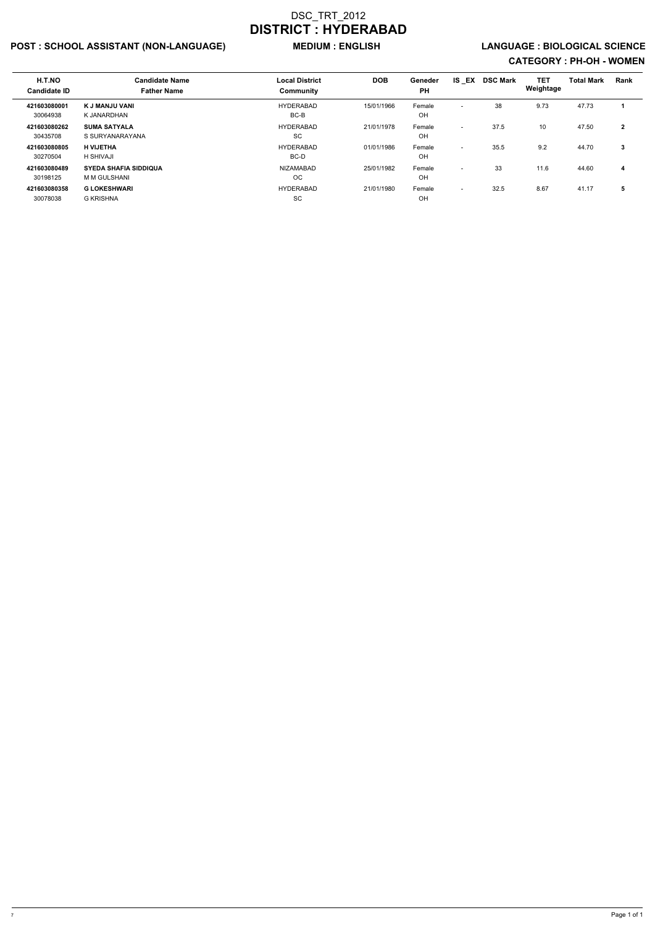## POST : SCHOOL ASSISTANT (NON-LANGUAGE) MEDIUM : ENGLISH LANGUAGE : BIOLOGICAL SCIENCE

| H.T.NO<br><b>Candidate ID</b> | <b>Candidate Name</b><br><b>Father Name</b>  | <b>Local District</b><br>Community | <b>DOB</b> | Geneder<br><b>PH</b> | IS EX                    | <b>DSC Mark</b> | <b>TET</b><br>Weightage | <b>Total Mark</b> | <b>Rank</b>  |
|-------------------------------|----------------------------------------------|------------------------------------|------------|----------------------|--------------------------|-----------------|-------------------------|-------------------|--------------|
| 421603080001<br>30064938      | K J MANJU VANI<br>K JANARDHAN                | <b>HYDERABAD</b><br>BC-B           | 15/01/1966 | Female<br>OH         | $\overline{\phantom{0}}$ | 38              | 9.73                    | 47.73             |              |
| 421603080262<br>30435708      | <b>SUMA SATYALA</b><br>S SURYANARAYANA       | <b>HYDERABAD</b><br>SC             | 21/01/1978 | Female<br>OH         | $\sim$                   | 37.5            | 10 <sup>1</sup>         | 47.50             | $\mathbf{2}$ |
| 421603080805<br>30270504      | <b>H VIJETHA</b><br>H SHIVAJI                | <b>HYDERABAD</b><br>BC-D           | 01/01/1986 | Female<br>OH         | $\overline{\phantom{a}}$ | 35.5            | 9.2                     | 44.70             | 3            |
| 421603080489<br>30198125      | <b>SYEDA SHAFIA SIDDIQUA</b><br>M M GULSHANI | NIZAMABAD<br>OC.                   | 25/01/1982 | Female<br>OH         | $\overline{\phantom{a}}$ | 33              | 11.6                    | 44.60             | 4            |
| 421603080358<br>30078038      | <b>G LOKESHWARI</b><br><b>G KRISHNA</b>      | <b>HYDERABAD</b><br><b>SC</b>      | 21/01/1980 | Female<br>OH         | $\overline{\phantom{a}}$ | 32.5            | 8.67                    | 41.17             | 5            |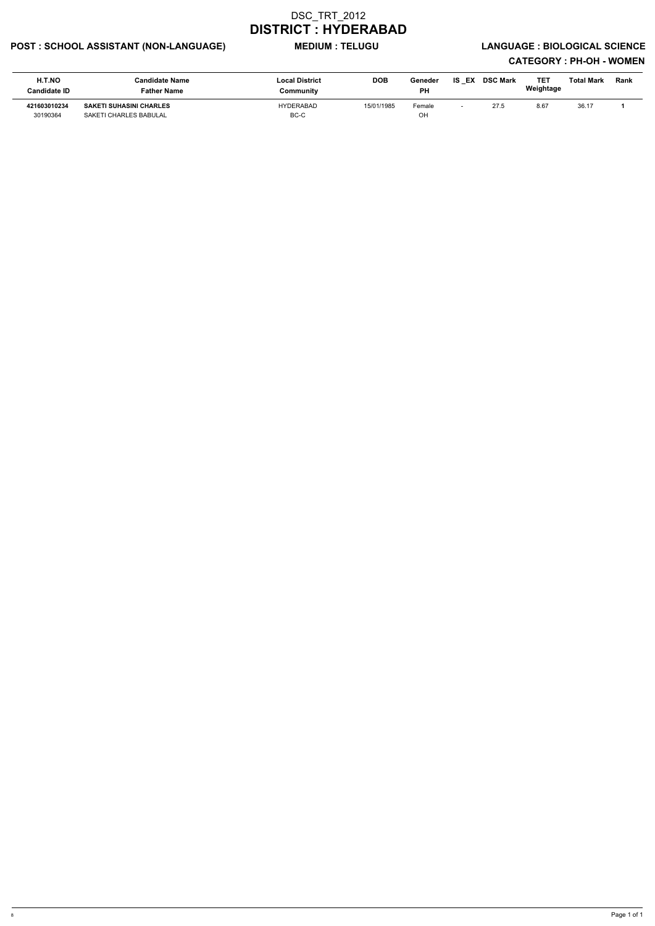## POST : SCHOOL ASSISTANT (NON-LANGUAGE) MEDIUM : TELUGU LANGUAGE : BIOLOGICAL SCIENCE

| H.T.NO<br>Candidate ID   | <b>Candidate Name</b><br><b>Father Name</b>              | <b>Local District</b><br>Community | <b>DOB</b> | Geneder<br>РH | <b>IS EX</b> | <b>DSC Mark</b> | TE1<br>Weightage | Total Mark | <b>Rank</b> |
|--------------------------|----------------------------------------------------------|------------------------------------|------------|---------------|--------------|-----------------|------------------|------------|-------------|
| 421603010234<br>30190364 | <b>SAKETI SUHASINI CHARLES</b><br>SAKETI CHARLES BABULAL | HYDERABAD<br>BC-C                  | 15/01/1985 | Female<br>OH  |              | 27.5            | 8.67             | 36.17      |             |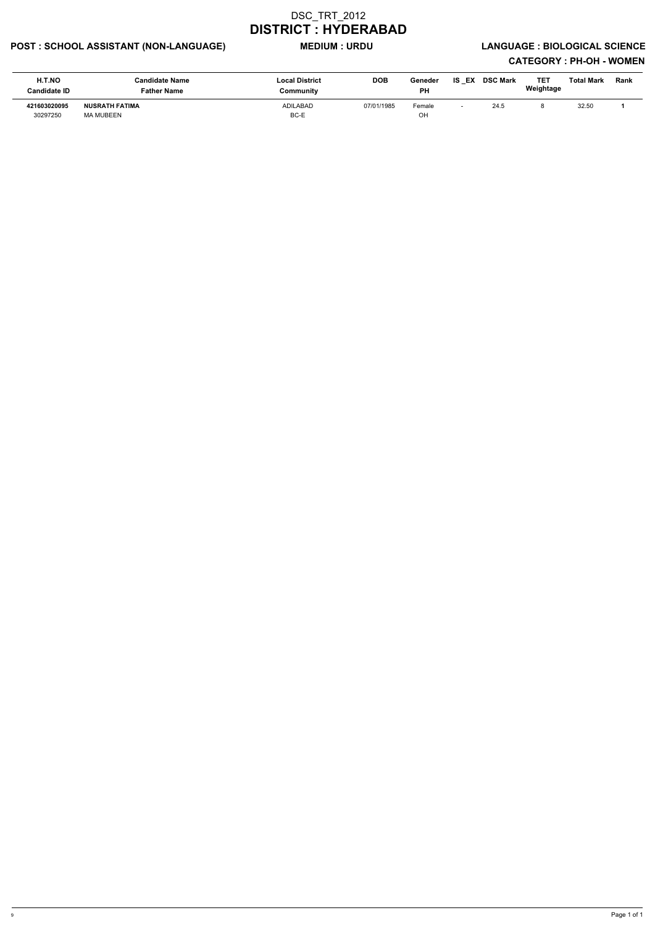## POST : SCHOOL ASSISTANT (NON-LANGUAGE) MEDIUM : URDU LANGUAGE : BIOLOGICAL SCIENCE

| <b>H.T.NO</b><br><b>Candidate ID</b> | <b>Candidate Name</b><br>Father Name | <b>Local District</b><br>Community | <b>DOB</b> | Geneder<br><b>PH</b> | IS EX | <b>DSC Mark</b> | TE1<br>Weightage | Total Mark | Rank |
|--------------------------------------|--------------------------------------|------------------------------------|------------|----------------------|-------|-----------------|------------------|------------|------|
| 421603020095<br>30297250             | <b>NUSRATH FATIMA</b><br>MA MUBEEN   | ADILABAD<br>BC-E                   | 07/01/1985 | Female<br>OH         |       | 24.5            |                  | 32.50      |      |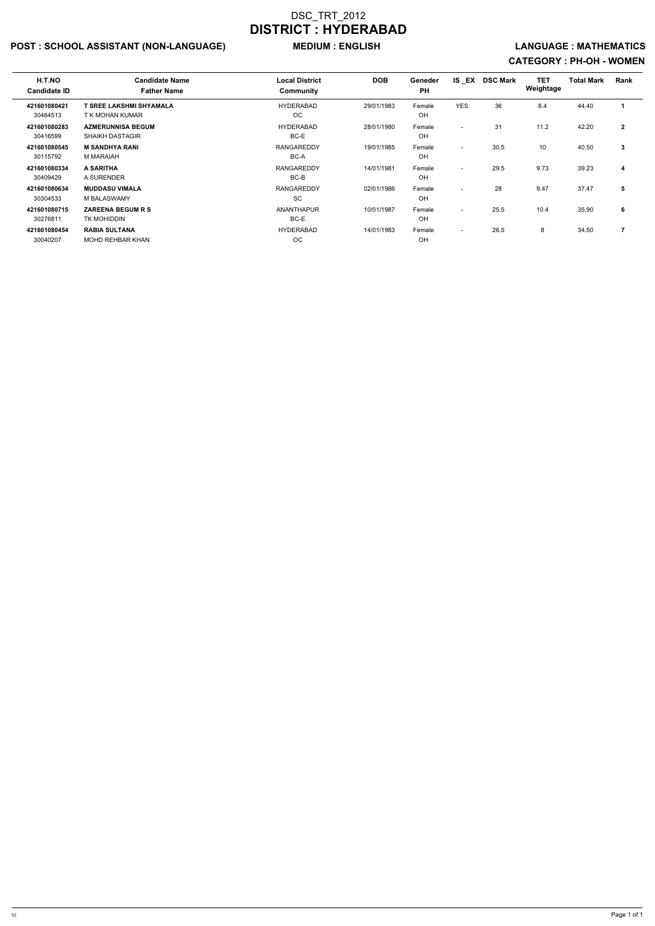## POST : SCHOOL ASSISTANT (NON-LANGUAGE) MEDIUM : ENGLISH LANGUAGE : MATHEMATICS

| H.T.NO<br><b>Candidate ID</b> | <b>Candidate Name</b><br><b>Father Name</b>        | <b>Local District</b><br>Community | <b>DOB</b> | Geneder<br><b>PH</b> | <b>IS EX</b>             | <b>DSC Mark</b> | <b>TET</b><br>Weightage | <b>Total Mark</b> | Rank                    |
|-------------------------------|----------------------------------------------------|------------------------------------|------------|----------------------|--------------------------|-----------------|-------------------------|-------------------|-------------------------|
| 421601080421<br>30464513      | <b>T SREE LAKSHMI SHYAMALA</b><br>T K MOHAN KUMAR  | <b>HYDERABAD</b><br>OC.            | 29/01/1983 | Female<br>OH         | <b>YES</b>               | 36              | 8.4                     | 44.40             |                         |
| 421601080283<br>30416599      | <b>AZMERUNNISA BEGUM</b><br><b>SHAIKH DASTAGIR</b> | <b>HYDERABAD</b><br>BC-E           | 28/01/1980 | Female<br>OH         | $\overline{\phantom{a}}$ | 31              | 11.2                    | 42.20             | $\overline{2}$          |
| 421601080545<br>30115792      | <b>M SANDHYA RANI</b><br>M MARAIAH                 | <b>RANGAREDDY</b><br>BC-A          | 19/01/1985 | Female<br>OH         | $\sim$                   | 30.5            | 10                      | 40.50             | 3                       |
| 421601080334<br>30409429      | A SARITHA<br>A SURENDER                            | <b>RANGAREDDY</b><br>BC-B          | 14/01/1981 | Female<br>OH         | $\overline{\phantom{a}}$ | 29.5            | 9.73                    | 39.23             | $\overline{\mathbf{4}}$ |
| 421601080634<br>30304533      | <b>MUDDASU VIMALA</b><br>M BALASWAMY               | <b>RANGAREDDY</b><br>SC            | 02/01/1986 | Female<br>OH         | $\overline{\phantom{a}}$ | 28              | 9.47                    | 37.47             | 5                       |
| 421601080715<br>30276811      | <b>ZAREENA BEGUM R S</b><br>TK MOHIDDIN            | <b>ANANTHAPUR</b><br>BC-E          | 10/01/1987 | Female<br>OH         | $\overline{\phantom{a}}$ | 25.5            | 10.4                    | 35.90             | 6                       |
| 421601080454<br>30040207      | <b>RABIA SULTANA</b><br><b>MOHD REHBAR KHAN</b>    | <b>HYDERABAD</b><br>ОC             | 14/01/1983 | Female<br>OH         | $\overline{\phantom{a}}$ | 26.5            | 8                       | 34.50             |                         |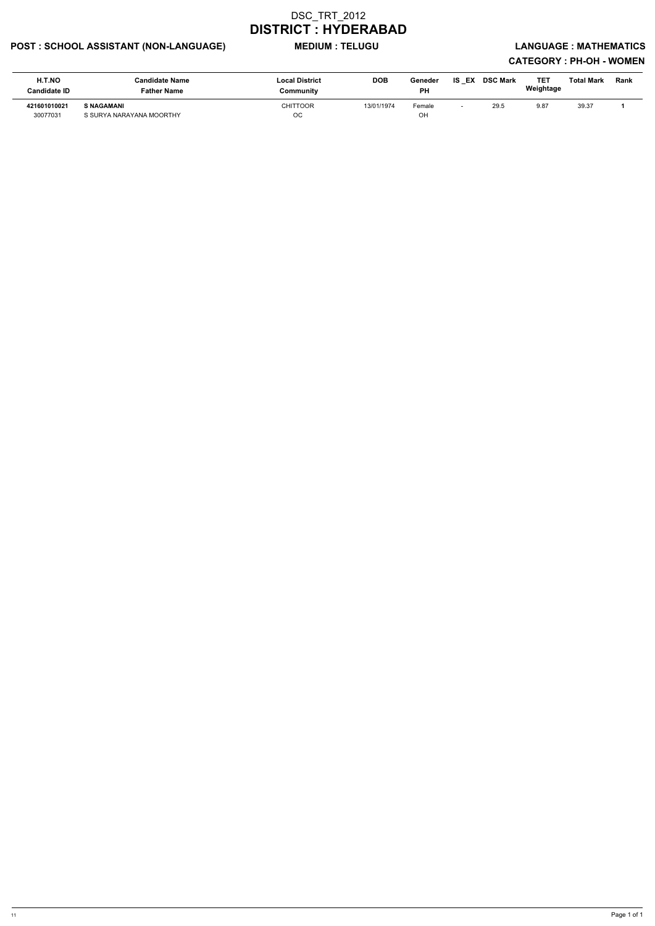## POST : SCHOOL ASSISTANT (NON-LANGUAGE) MEDIUM : TELUGU LANGUAGE : MATHEMATICS

| H.T.NO<br><b>Candidate ID</b> | Candidate Name<br>Father Name                 | <b>Local District</b><br>Community | <b>DOB</b> | Geneder<br><b>PH</b> | IS EX | <b>DSC Mark</b> | TET<br>Weightage | <b>Total Mark</b> | <b>Rank</b> |
|-------------------------------|-----------------------------------------------|------------------------------------|------------|----------------------|-------|-----------------|------------------|-------------------|-------------|
| 421601010021<br>30077031      | <b>S NAGAMANI</b><br>S SURYA NARAYANA MOORTHY | CHITTOOR<br>OC                     | 13/01/1974 | Female<br>OH         |       | 29.5            | 9.87             | 39.37             |             |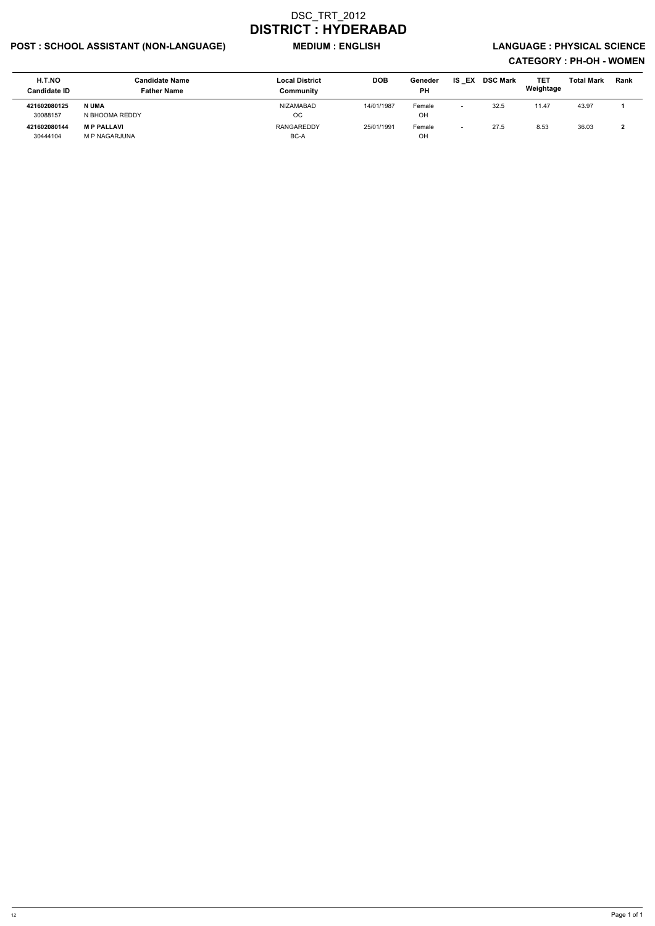## POST : SCHOOL ASSISTANT (NON-LANGUAGE) MEDIUM : ENGLISH LANGUAGE : PHYSICAL SCIENCE

| H.T.NO<br><b>Candidate ID</b> | <b>Candidate Name</b><br><b>Father Name</b> | <b>Local District</b><br>Community | <b>DOB</b> | Geneder<br><b>PH</b> | IS EX                    | <b>DSC Mark</b> | TE1<br>Weightage | <b>Total Mark</b> | Rank |
|-------------------------------|---------------------------------------------|------------------------------------|------------|----------------------|--------------------------|-----------------|------------------|-------------------|------|
| 421602080125<br>30088157      | N UMA<br>N BHOOMA REDDY                     | <b>NIZAMABAD</b><br><b>OC</b>      | 14/01/1987 | Female<br>OH         |                          | 32.5            | 11.47            | 43.97             |      |
| 421602080144<br>30444104      | <b>MP PALLAVI</b><br><b>M P NAGARJUNA</b>   | RANGAREDDY<br>BC-A                 | 25/01/1991 | Female<br>OH         | $\overline{\phantom{0}}$ | 27.5            | 8.53             | 36.03             |      |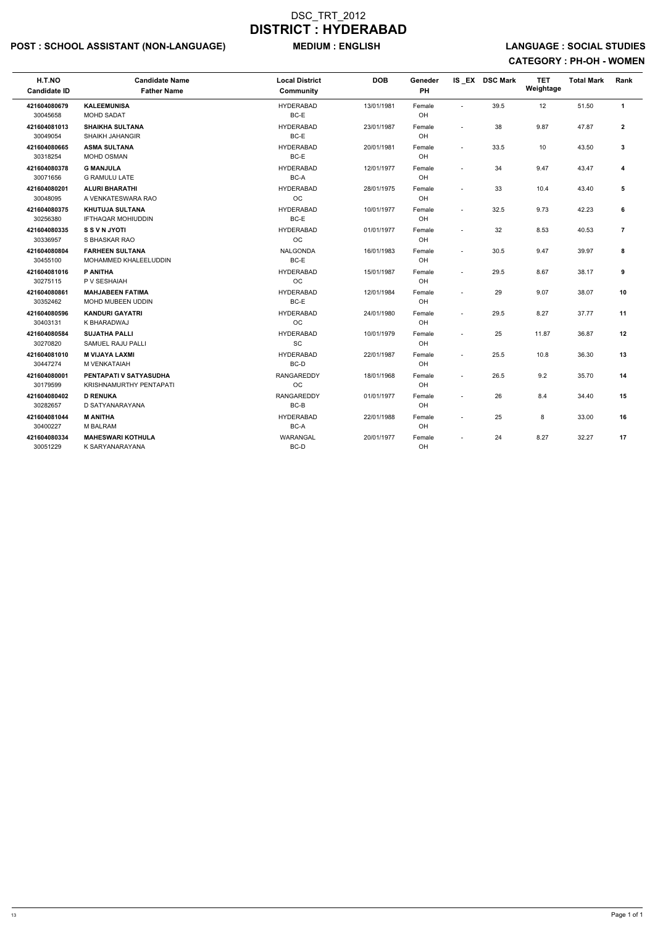## POST : SCHOOL ASSISTANT (NON-LANGUAGE) MEDIUM : ENGLISH LANGUAGE : SOCIAL STUDIES

| H.T.NO<br><b>Candidate ID</b> | <b>Candidate Name</b><br><b>Father Name</b>         | <b>Local District</b><br><b>Community</b> | <b>DOB</b> | Geneder<br>PH |                          | IS EX DSC Mark | <b>TET</b><br>Weightage | <b>Total Mark</b> | Rank           |
|-------------------------------|-----------------------------------------------------|-------------------------------------------|------------|---------------|--------------------------|----------------|-------------------------|-------------------|----------------|
| 421604080679<br>30045658      | <b>KALEEMUNISA</b><br><b>MOHD SADAT</b>             | <b>HYDERABAD</b><br>BC-E                  | 13/01/1981 | Female<br>OH  | $\sim$                   | 39.5           | 12                      | 51.50             | $\mathbf{1}$   |
| 421604081013<br>30049054      | <b>SHAIKHA SULTANA</b><br><b>SHAIKH JAHANGIR</b>    | <b>HYDERABAD</b><br>BC-E                  | 23/01/1987 | Female<br>OH  | $\sim$                   | 38             | 9.87                    | 47.87             | $\mathbf{2}$   |
| 421604080665<br>30318254      | <b>ASMA SULTANA</b><br><b>MOHD OSMAN</b>            | <b>HYDERABAD</b><br>BC-E                  | 20/01/1981 | Female<br>OH  | $\sim$                   | 33.5           | 10                      | 43.50             | 3              |
| 421604080378<br>30071656      | <b>G MANJULA</b><br><b>G RAMULU LATE</b>            | <b>HYDERABAD</b><br>BC-A                  | 12/01/1977 | Female<br>OH  | $\sim$                   | 34             | 9.47                    | 43.47             | 4              |
| 421604080201<br>30048095      | <b>ALURI BHARATHI</b><br>A VENKATESWARA RAO         | <b>HYDERABAD</b><br><b>OC</b>             | 28/01/1975 | Female<br>OH  | $\overline{\phantom{a}}$ | 33             | 10.4                    | 43.40             | 5              |
| 421604080375<br>30256380      | <b>KHUTUJA SULTANA</b><br><b>IFTHAQAR MOHIUDDIN</b> | <b>HYDERABAD</b><br>BC-E                  | 10/01/1977 | Female<br>OH  | $\sim$                   | 32.5           | 9.73                    | 42.23             | 6              |
| 421604080335<br>30336957      | <b>S S V N JYOTI</b><br>S BHASKAR RAO               | <b>HYDERABAD</b><br><b>OC</b>             | 01/01/1977 | Female<br>OH  |                          | 32             | 8.53                    | 40.53             | $\overline{7}$ |
| 421604080804<br>30455100      | <b>FARHEEN SULTANA</b><br>MOHAMMED KHALEELUDDIN     | <b>NALGONDA</b><br>BC-E                   | 16/01/1983 | Female<br>OH  |                          | 30.5           | 9.47                    | 39.97             | 8              |
| 421604081016<br>30275115      | P ANITHA<br>P V SESHAIAH                            | <b>HYDERABAD</b><br>OC                    | 15/01/1987 | Female<br>OH  |                          | 29.5           | 8.67                    | 38.17             | 9              |
| 421604080861<br>30352462      | <b>MAHJABEEN FATIMA</b><br>MOHD MUBEEN UDDIN        | <b>HYDERABAD</b><br>BC-E                  | 12/01/1984 | Female<br>OH  |                          | 29             | 9.07                    | 38.07             | 10             |
| 421604080596<br>30403131      | <b>KANDURI GAYATRI</b><br>K BHARADWAJ               | <b>HYDERABAD</b><br>OC                    | 24/01/1980 | Female<br>OH  | $\overline{a}$           | 29.5           | 8.27                    | 37.77             | 11             |
| 421604080584<br>30270820      | <b>SUJATHA PALLI</b><br>SAMUEL RAJU PALLI           | <b>HYDERABAD</b><br>SC                    | 10/01/1979 | Female<br>OH  | $\overline{a}$           | 25             | 11.87                   | 36.87             | 12             |
| 421604081010<br>30447274      | <b>M VIJAYA LAXMI</b><br>M VENKATAIAH               | <b>HYDERABAD</b><br>BC-D                  | 22/01/1987 | Female<br>OH  | $\overline{a}$           | 25.5           | 10.8                    | 36.30             | 13             |
| 421604080001<br>30179599      | PENTAPATI V SATYASUDHA<br>KRISHNAMURTHY PENTAPATI   | <b>RANGAREDDY</b><br><b>OC</b>            | 18/01/1968 | Female<br>OH  | $\sim$                   | 26.5           | 9.2                     | 35.70             | 14             |
| 421604080402<br>30282657      | <b>D RENUKA</b><br>D SATYANARAYANA                  | <b>RANGAREDDY</b><br>BC-B                 | 01/01/1977 | Female<br>OH  | $\sim$                   | 26             | 8.4                     | 34.40             | 15             |
| 421604081044<br>30400227      | <b>M ANITHA</b><br><b>M BALRAM</b>                  | <b>HYDERABAD</b><br>BC-A                  | 22/01/1988 | Female<br>OH  | $\overline{\phantom{a}}$ | 25             | 8                       | 33.00             | 16             |
| 421604080334<br>30051229      | <b>MAHESWARI KOTHULA</b><br>K SARYANARAYANA         | <b>WARANGAL</b><br>BC-D                   | 20/01/1977 | Female<br>OH  | $\sim$                   | 24             | 8.27                    | 32.27             | 17             |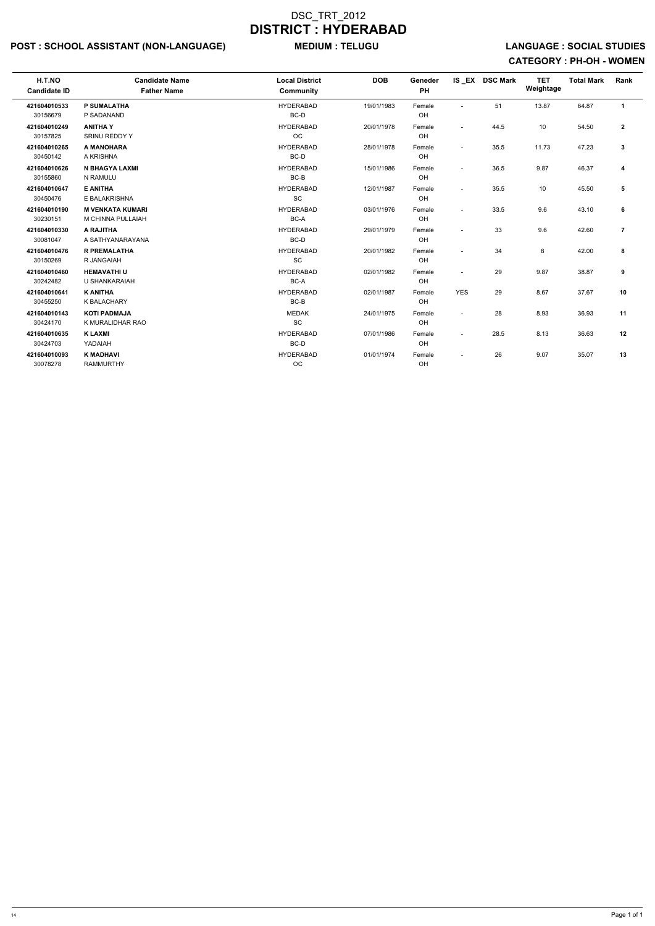## POST : SCHOOL ASSISTANT (NON-LANGUAGE) MEDIUM : TELUGU LANGUAGE : SOCIAL STUDIES

| H.T.NO<br><b>Candidate ID</b> | <b>Candidate Name</b><br><b>Father Name</b>  | <b>Local District</b><br>Community               | <b>DOB</b> | Geneder<br>PH |                          | IS_EX DSC Mark | <b>TET</b><br>Weightage | <b>Total Mark</b> | Rank           |  |
|-------------------------------|----------------------------------------------|--------------------------------------------------|------------|---------------|--------------------------|----------------|-------------------------|-------------------|----------------|--|
| 421604010533<br>30156679      | P SUMALATHA<br>P SADANAND                    | <b>HYDERABAD</b><br>BC-D                         | 19/01/1983 | Female<br>OH  | $\sim$                   | 51             | 13.87                   | 64.87             | $\mathbf{1}$   |  |
| 421604010249<br>30157825      | <b>ANITHA Y</b><br><b>SRINU REDDY Y</b>      | <b>HYDERABAD</b><br><b>OC</b>                    | 20/01/1978 | Female<br>OH  | $\sim$                   | 44.5           | 10                      | 54.50             | $\mathbf{2}$   |  |
| 421604010265<br>30450142      | A MANOHARA<br>A KRISHNA                      | <b>HYDERABAD</b><br>BC-D                         | 28/01/1978 | Female<br>OH  | $\overline{\phantom{a}}$ | 35.5           | 11.73                   | 47.23             | 3              |  |
| 421604010626<br>30155860      | N BHAGYA LAXMI<br>N RAMULU                   | <b>HYDERABAD</b><br>$BC-B$                       | 15/01/1986 | Female<br>OH  | $\tilde{\phantom{a}}$    | 36.5           | 9.87                    | 46.37             | 4              |  |
| 421604010647<br>30450476      | <b>E ANITHA</b><br>E BALAKRISHNA             | <b>HYDERABAD</b><br><b>SC</b>                    | 12/01/1987 | Female<br>OH  | $\overline{\phantom{a}}$ | 35.5           | 10                      | 45.50             | 5              |  |
| 421604010190<br>30230151      | <b>M VENKATA KUMARI</b><br>M CHINNA PULLAIAH | <b>HYDERABAD</b><br>BC-A                         | 03/01/1976 | Female<br>OH  | $\overline{\phantom{a}}$ | 33.5           | 9.6                     | 43.10             | 6              |  |
| 421604010330<br>30081047      | A RAJITHA<br>A SATHYANARAYANA                | <b>HYDERABAD</b><br>BC-D                         | 29/01/1979 | Female<br>OH  | $\tilde{\phantom{a}}$    | 33             | 9.6                     | 42.60             | $\overline{7}$ |  |
| 421604010476<br>30150269      | <b>R PREMALATHA</b><br>R JANGAIAH            | <b>HYDERABAD</b><br>$\operatorname{\textsf{SC}}$ | 20/01/1982 | Female<br>OH  | $\overline{\phantom{a}}$ | 34             | 8                       | 42.00             | 8              |  |
| 421604010460<br>30242482      | <b>HEMAVATHIU</b><br>U SHANKARAIAH           | <b>HYDERABAD</b><br>BC-A                         | 02/01/1982 | Female<br>OH  | $\sim$                   | 29             | 9.87                    | 38.87             | 9              |  |
| 421604010641<br>30455250      | <b>K ANITHA</b><br>K BALACHARY               | <b>HYDERABAD</b><br>BC-B                         | 02/01/1987 | Female<br>OH  | <b>YES</b>               | 29             | 8.67                    | 37.67             | 10             |  |
| 421604010143<br>30424170      | <b>KOTI PADMAJA</b><br>K MURALIDHAR RAO      | <b>MEDAK</b><br>SC                               | 24/01/1975 | Female<br>OH  | $\sim$                   | 28             | 8.93                    | 36.93             | 11             |  |
| 421604010635<br>30424703      | <b>K LAXMI</b><br>YADAIAH                    | <b>HYDERABAD</b><br>BC-D                         | 07/01/1986 | Female<br>OH  | $\blacksquare$           | 28.5           | 8.13                    | 36.63             | 12             |  |
| 421604010093<br>30078278      | <b>K MADHAVI</b><br><b>RAMMURTHY</b>         | <b>HYDERABAD</b><br>OC                           | 01/01/1974 | Female<br>OH  | $\blacksquare$           | 26             | 9.07                    | 35.07             | 13             |  |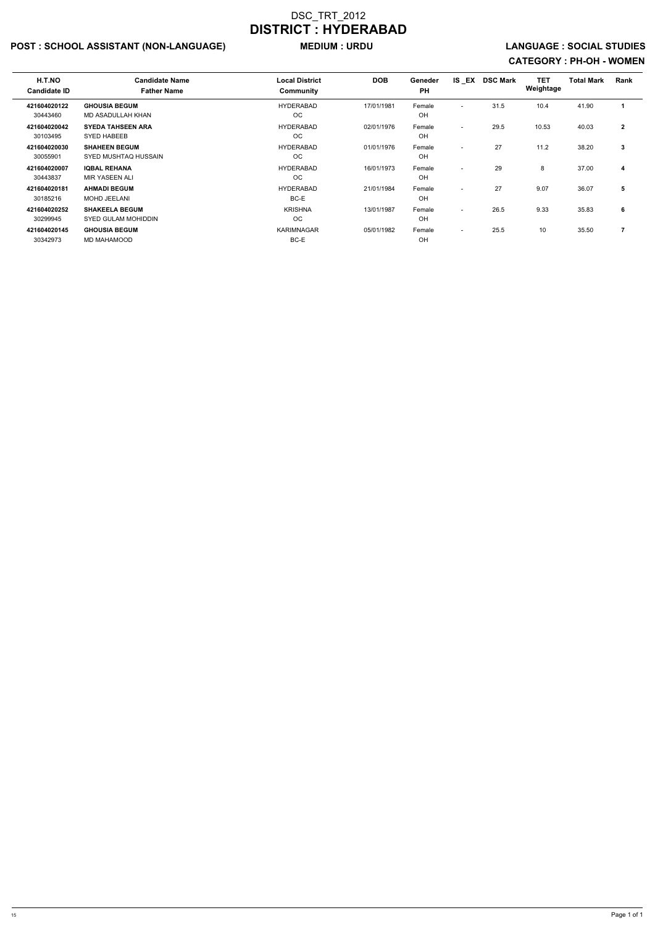## POST : SCHOOL ASSISTANT (NON-LANGUAGE) MEDIUM : URDU LANGUAGE : SOCIAL STUDIES

| H.T.NO<br><b>Candidate ID</b> | <b>Candidate Name</b><br><b>Father Name</b>    | <b>Local District</b><br>Community | <b>DOB</b> | Geneder<br><b>PH</b> | IS EX                    | <b>DSC Mark</b> | TET<br>Weightage | <b>Total Mark</b> | Rank         |
|-------------------------------|------------------------------------------------|------------------------------------|------------|----------------------|--------------------------|-----------------|------------------|-------------------|--------------|
| 421604020122<br>30443460      | <b>GHOUSIA BEGUM</b><br>MD ASADULLAH KHAN      | <b>HYDERABAD</b><br>ОC             | 17/01/1981 | Female<br>OH         | $\overline{\phantom{a}}$ | 31.5            | 10.4             | 41.90             |              |
| 421604020042<br>30103495      | <b>SYEDA TAHSEEN ARA</b><br><b>SYED HABEEB</b> | <b>HYDERABAD</b><br>ОC             | 02/01/1976 | Female<br>OH         | $\overline{\phantom{a}}$ | 29.5            | 10.53            | 40.03             | $\mathbf{2}$ |
| 421604020030<br>30055901      | <b>SHAHEEN BEGUM</b><br>SYED MUSHTAQ HUSSAIN   | <b>HYDERABAD</b><br><b>OC</b>      | 01/01/1976 | Female<br>OH         | $\overline{\phantom{a}}$ | 27              | 11.2             | 38.20             | 3            |
| 421604020007<br>30443837      | <b>IQBAL REHANA</b><br>MIR YASEEN ALI          | <b>HYDERABAD</b><br>OC.            | 16/01/1973 | Female<br>OH         | $\overline{\phantom{a}}$ | 29              | 8                | 37.00             | 4            |
| 421604020181<br>30185216      | <b>AHMADI BEGUM</b><br><b>MOHD JEELANI</b>     | <b>HYDERABAD</b><br>BC-E           | 21/01/1984 | Female<br>OH         | $\overline{\phantom{a}}$ | 27              | 9.07             | 36.07             | 5            |
| 421604020252<br>30299945      | <b>SHAKEELA BEGUM</b><br>SYED GULAM MOHIDDIN   | <b>KRISHNA</b><br><b>OC</b>        | 13/01/1987 | Female<br>OH         | $\overline{\phantom{a}}$ | 26.5            | 9.33             | 35.83             | 6            |
| 421604020145<br>30342973      | <b>GHOUSIA BEGUM</b><br>MD MAHAMOOD            | <b>KARIMNAGAR</b><br>BC-E          | 05/01/1982 | Female<br>OH         | $\overline{\phantom{a}}$ | 25.5            | 10               | 35.50             | 7            |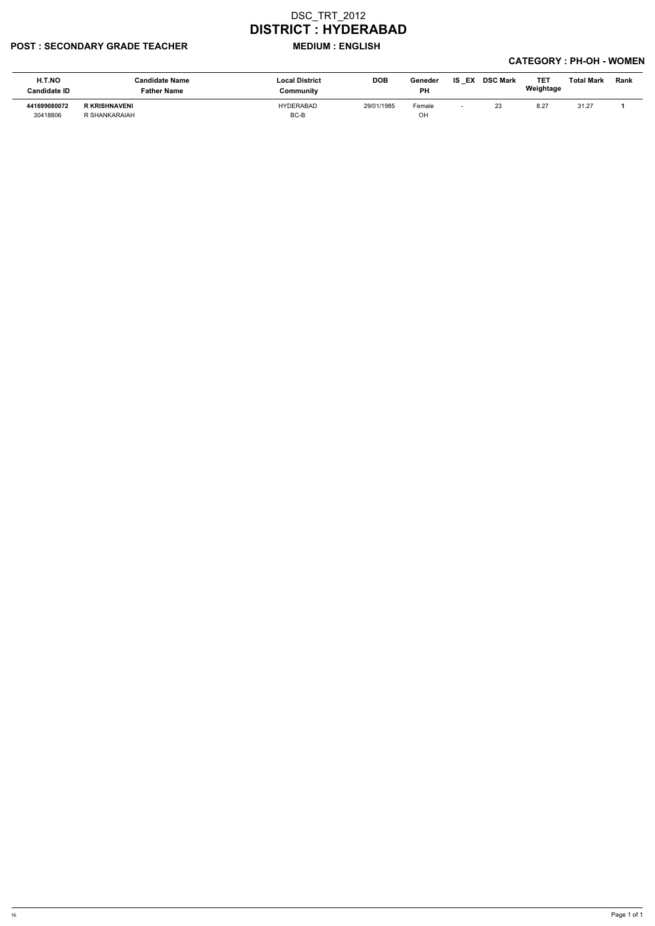#### POST : SECONDARY GRADE TEACHER MEDIUM : ENGLISH

| H.T.NO<br><b>Candidate ID</b> | <b>Candidate Name</b><br><b>Father Name</b> | <b>Local District</b><br>Community | <b>DOB</b> | Geneder<br><b>PH</b> | IS EX | <b>DSC Mark</b> | TE1<br>Weightage | <b>Total Mark</b> | <b>Rank</b> |
|-------------------------------|---------------------------------------------|------------------------------------|------------|----------------------|-------|-----------------|------------------|-------------------|-------------|
| 441699080072                  | <b>R KRISHNAVENI</b>                        | <b>HYDERABAD</b>                   | 29/01/1985 | Female               |       | 23              | 8.27             | 31.27             |             |
| 30418806                      | R SHANKARAIAH                               | BC-B                               |            | OН                   |       |                 |                  |                   |             |